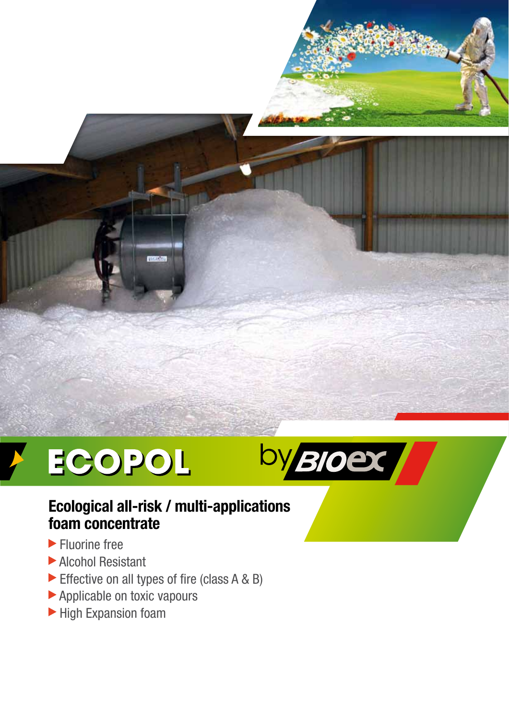



# **Ecological all-risk / multi-applications foam concentrate**

- **Fluorine free**
- Alcohol Resistant
- Effective on all types of fire (class A & B)
- Applicable on toxic vapours
- High Expansion foam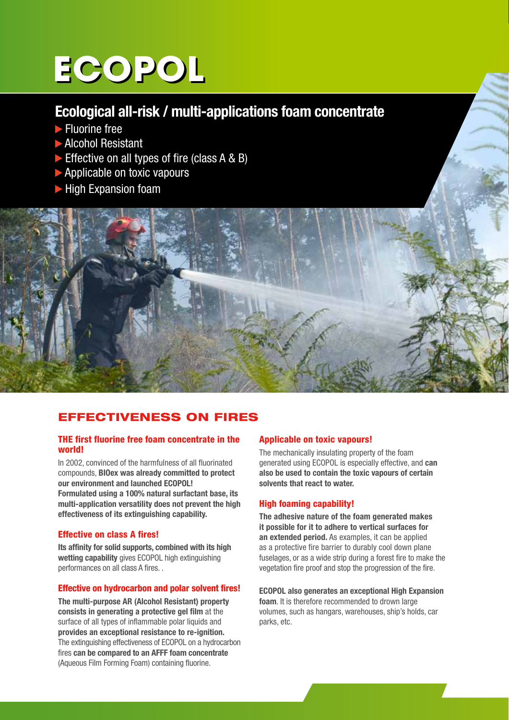# **ECOPOL**

# **Ecological all-risk / multi-applications foam concentrate**

- **Fluorine free**
- Alcohol Resistant
- Effective on all types of fire (class  $A \& B$ )
- ▶ Applicable on toxic vapours
- **High Expansion foam**



# EFFECTIVENESS ON FIRES

### THE first fluorine free foam concentrate in the world!

In 2002, convinced of the harmfulness of all fluorinated compounds, **BIOex was already committed to protect our environment and launched ECOPOL! Formulated using a 100% natural surfactant base, its multi-application versatility does not prevent the high effectiveness of its extinguishing capability.**

# Effective on class A fires!

**Its affinity for solid supports, combined with its high wetting capability** gives ECOPOL high extinguishing performances on all class A fires. .

# Effective on hydrocarbon and polar solvent fires!

**The multi-purpose AR (Alcohol Resistant) property consists in generating a protective gel film** at the surface of all types of inflammable polar liquids and **provides an exceptional resistance to re-ignition.** The extinguishing effectiveness of ECOPOL on a hydrocarbon fires **can be compared to an AFFF foam concentrate**  (Aqueous Film Forming Foam) containing fluorine.

# Applicable on toxic vapours!

The mechanically insulating property of the foam generated using ECOPOL is especially effective, and **can also be used to contain the toxic vapours of certain solvents that react to water.**

# High foaming capability!

**The adhesive nature of the foam generated makes it possible for it to adhere to vertical surfaces for an extended period.** As examples, it can be applied as a protective fire barrier to durably cool down plane fuselages, or as a wide strip during a forest fire to make the vegetation fire proof and stop the progression of the fire.

**ECOPOL also generates an exceptional High Expansion foam**. It is therefore recommended to drown large volumes, such as hangars, warehouses, ship's holds, car parks, etc.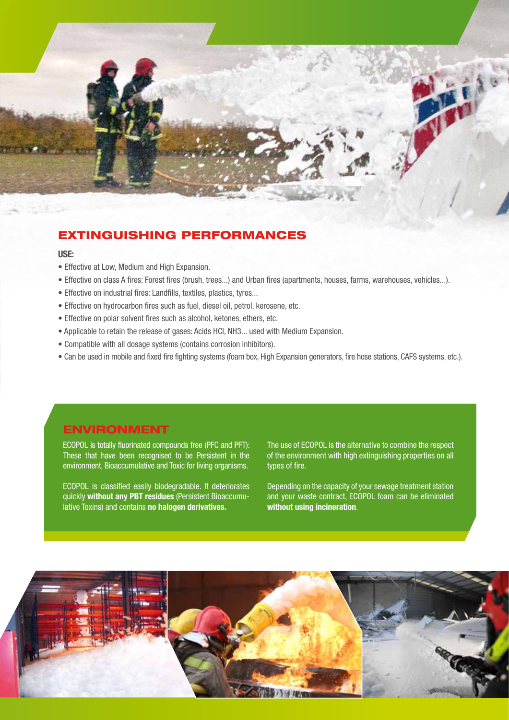

# EXTINGUISHING PERFORMANCES

#### **USE:**

- Effective at Low, Medium and High Expansion.
- Effective on class A fires: Forest fires (brush, trees...) and Urban fires (apartments, houses, farms, warehouses, vehicles...).
- Effective on industrial fires: Landfills, textiles, plastics, tyres...
- Effective on hydrocarbon fires such as fuel, diesel oil, petrol, kerosene, etc.
- Effective on polar solvent fires such as alcohol, ketones, ethers, etc.
- Applicable to retain the release of gases: Acids HCl, NH3... used with Medium Expansion.
- Compatible with all dosage systems (contains corrosion inhibitors).
- Can be used in mobile and fixed fire fighting systems (foam box, High Expansion generators, fire hose stations, CAFS systems, etc.).

# ENVIRONMENT

ECOPOL is totally fluorinated compounds free (PFC and PFT): These that have been recognised to be Persistent in the environment, Bioaccumulative and Toxic for living organisms.

ECOPOL is classified easily biodegradable. It deteriorates quickly **without any PBT residues** (Persistent Bioaccumulative Toxins) and contains **no halogen derivatives.**

The use of ECOPOL is the alternative to combine the respect of the environment with high extinguishing properties on all types of fire.

Depending on the capacity of your sewage treatment station and your waste contract, ECOPOL foam can be eliminated **without using incineration**.